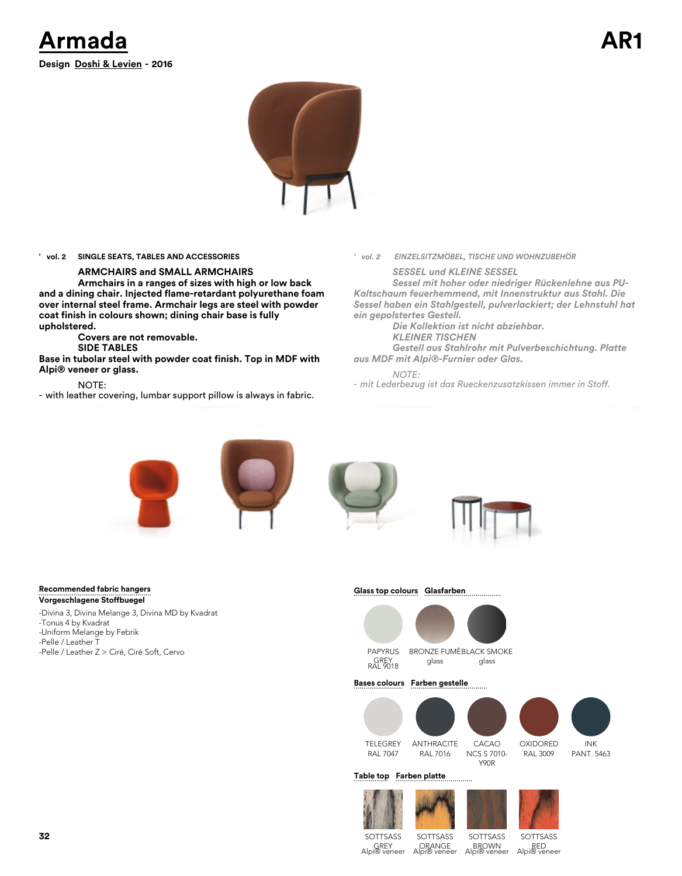



### **' vol. 2 SINGLE SEATS, TABLES AND ACCESSORIES**

### **ARMCHAIRS and SMALL ARMCHAIRS**

**Armchairs in a ranges of sizes with high or low back and a dining chair. Injected flame-retardant polyurethane foam over internal steel frame. Armchair legs are steel with powder coat finish in colours shown; dining chair base is fully upholstered.** 

**Covers are not removable.**

**SIDE TABLES**

**Base in tubolar steel with powder coat finish. Top in MDF with Alpi® veneer or glass.**

NOTE:

- with leather covering, lumbar support pillow is always in fabric.

#### *' vol. 2 EINZELSITZMÖBEL, TISCHE UND WOHNZUBEHÖR*

*SESSEL und KLEINE SESSEL Sessel mit hoher oder niedriger Rückenlehne aus PU-*

*Kaltschaum feuerhemmend, mit Innenstruktur aus Stahl. Die Sessel haben ein Stahlgestell, pulverlackiert; der Lehnstuhl hat ein gepolstertes Gestell.*

*Die Kollektion ist nicht abziehbar. KLEINER TISCHEN*

*Gestell aus Stahlrohr mit Pulverbeschichtung. Platte aus MDF mit Alpi®-Furnier oder Glas.*

*NOTE:*

*- mit Lederbezug ist das Rueckenzusatzkissen immer in Stoff.*







SOTTSASS RED Alpi® veneer